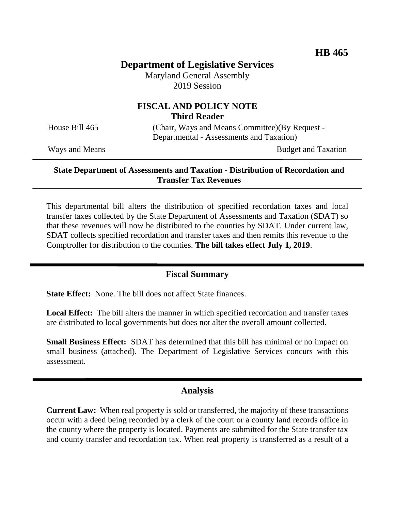# **Department of Legislative Services**

Maryland General Assembly 2019 Session

# **FISCAL AND POLICY NOTE Third Reader**

House Bill 465 (Chair, Ways and Means Committee)(By Request -Departmental - Assessments and Taxation)

Ways and Means Budget and Taxation

#### **State Department of Assessments and Taxation - Distribution of Recordation and Transfer Tax Revenues**

This departmental bill alters the distribution of specified recordation taxes and local transfer taxes collected by the State Department of Assessments and Taxation (SDAT) so that these revenues will now be distributed to the counties by SDAT. Under current law, SDAT collects specified recordation and transfer taxes and then remits this revenue to the Comptroller for distribution to the counties. **The bill takes effect July 1, 2019**.

### **Fiscal Summary**

**State Effect:** None. The bill does not affect State finances.

**Local Effect:** The bill alters the manner in which specified recordation and transfer taxes are distributed to local governments but does not alter the overall amount collected.

**Small Business Effect:** SDAT has determined that this bill has minimal or no impact on small business (attached). The Department of Legislative Services concurs with this assessment.

#### **Analysis**

**Current Law:** When real property is sold or transferred, the majority of these transactions occur with a deed being recorded by a clerk of the court or a county land records office in the county where the property is located. Payments are submitted for the State transfer tax and county transfer and recordation tax. When real property is transferred as a result of a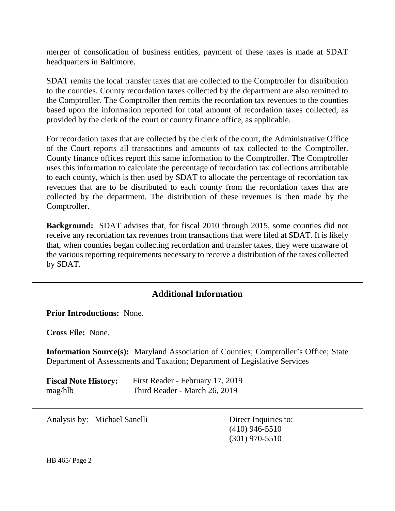merger of consolidation of business entities, payment of these taxes is made at SDAT headquarters in Baltimore.

SDAT remits the local transfer taxes that are collected to the Comptroller for distribution to the counties. County recordation taxes collected by the department are also remitted to the Comptroller. The Comptroller then remits the recordation tax revenues to the counties based upon the information reported for total amount of recordation taxes collected, as provided by the clerk of the court or county finance office, as applicable.

For recordation taxes that are collected by the clerk of the court, the Administrative Office of the Court reports all transactions and amounts of tax collected to the Comptroller. County finance offices report this same information to the Comptroller. The Comptroller uses this information to calculate the percentage of recordation tax collections attributable to each county, which is then used by SDAT to allocate the percentage of recordation tax revenues that are to be distributed to each county from the recordation taxes that are collected by the department. The distribution of these revenues is then made by the Comptroller.

**Background:** SDAT advises that, for fiscal 2010 through 2015, some counties did not receive any recordation tax revenues from transactions that were filed at SDAT. It is likely that, when counties began collecting recordation and transfer taxes, they were unaware of the various reporting requirements necessary to receive a distribution of the taxes collected by SDAT.

# **Additional Information**

**Prior Introductions:** None.

**Cross File:** None.

**Information Source(s):** Maryland Association of Counties; Comptroller's Office; State Department of Assessments and Taxation; Department of Legislative Services

| <b>Fiscal Note History:</b> | First Reader - February 17, 2019 |
|-----------------------------|----------------------------------|
| mag/hlb                     | Third Reader - March 26, 2019    |

Analysis by: Michael Sanelli Direct Inquiries to:

(410) 946-5510 (301) 970-5510